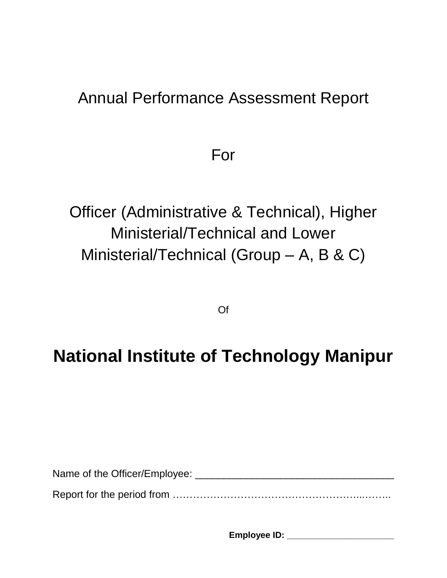# Annual Performance Assessment Report

For

Officer (Administrative & Technical), Higher Ministerial/Technical and Lower Ministerial/Technical (Group – A, B & C)

Of

# **National Institute of Technology Manipur**

Name of the Officer/Employee: \_\_\_\_\_\_\_\_\_\_\_\_\_\_\_\_\_\_\_\_\_\_\_\_\_\_\_\_\_\_\_\_\_\_\_ Report for the period from ………………………………………………...……..

**Employee ID: \_\_\_\_\_\_\_\_\_\_\_\_\_\_\_\_\_\_\_\_\_\_**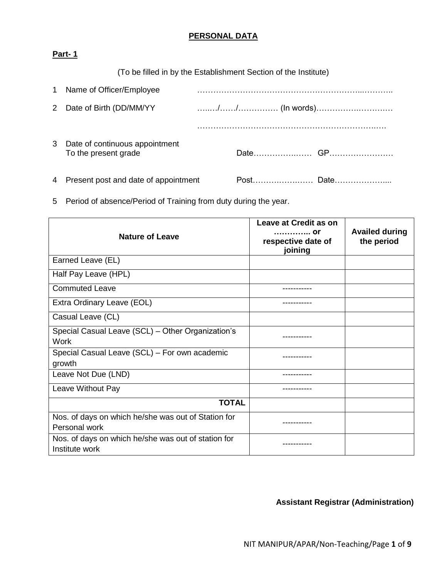## **PERSONAL DATA**

### **Part- 1**

(To be filled in by the Establishment Section of the Institute)

| 1 Name of Officer/Employee                               |  |  |
|----------------------------------------------------------|--|--|
| 2 Date of Birth (DD/MM/YY                                |  |  |
|                                                          |  |  |
| 3 Date of continuous appointment<br>To the present grade |  |  |
| 4 Present post and date of appointment                   |  |  |

5 Period of absence/Period of Training from duty during the year.

| <b>Nature of Leave</b>                                                | Leave at Credit as on<br>. Or<br>respective date of<br>joining | <b>Availed during</b><br>the period |
|-----------------------------------------------------------------------|----------------------------------------------------------------|-------------------------------------|
| Earned Leave (EL)                                                     |                                                                |                                     |
| Half Pay Leave (HPL)                                                  |                                                                |                                     |
| <b>Commuted Leave</b>                                                 | -----------                                                    |                                     |
| Extra Ordinary Leave (EOL)                                            |                                                                |                                     |
| Casual Leave (CL)                                                     |                                                                |                                     |
| Special Casual Leave (SCL) - Other Organization's<br><b>Work</b>      |                                                                |                                     |
| Special Casual Leave (SCL) - For own academic<br>growth               | --------                                                       |                                     |
| Leave Not Due (LND)                                                   |                                                                |                                     |
| Leave Without Pay                                                     |                                                                |                                     |
| <b>TOTAL</b>                                                          |                                                                |                                     |
| Nos. of days on which he/she was out of Station for<br>Personal work  | .                                                              |                                     |
| Nos. of days on which he/she was out of station for<br>Institute work |                                                                |                                     |

**Assistant Registrar (Administration)**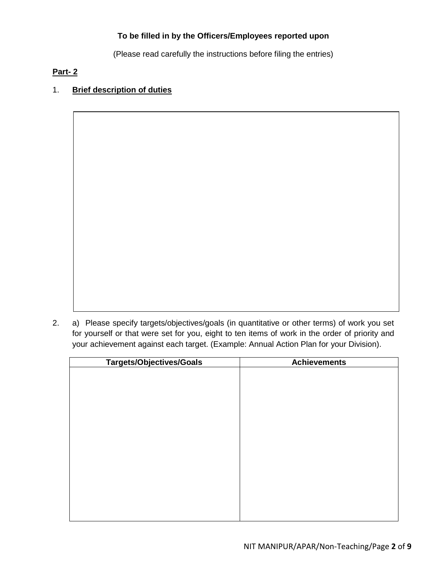#### **To be filled in by the Officers/Employees reported upon**

(Please read carefully the instructions before filing the entries)

#### **Part- 2**

# 1. **Brief description of duties**

2. a) Please specify targets/objectives/goals (in quantitative or other terms) of work you set for yourself or that were set for you, eight to ten items of work in the order of priority and your achievement against each target. (Example: Annual Action Plan for your Division).

| <b>Targets/Objectives/Goals</b> | <b>Achievements</b> |
|---------------------------------|---------------------|
|                                 |                     |
|                                 |                     |
|                                 |                     |
|                                 |                     |
|                                 |                     |
|                                 |                     |
|                                 |                     |
|                                 |                     |
|                                 |                     |
|                                 |                     |
|                                 |                     |
|                                 |                     |
|                                 |                     |
|                                 |                     |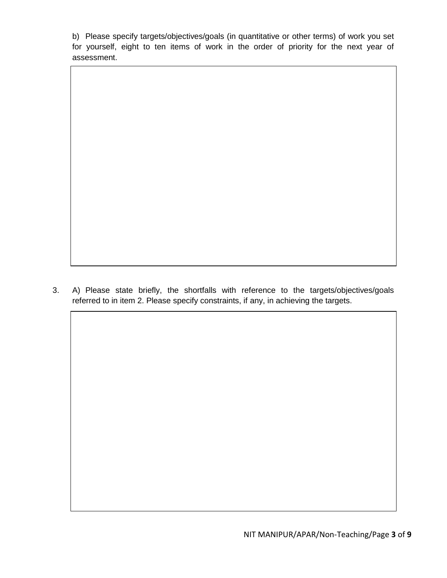b) Please specify targets/objectives/goals (in quantitative or other terms) of work you set for yourself, eight to ten items of work in the order of priority for the next year of assessment.

3. A) Please state briefly, the shortfalls with reference to the targets/objectives/goals referred to in item 2. Please specify constraints, if any, in achieving the targets.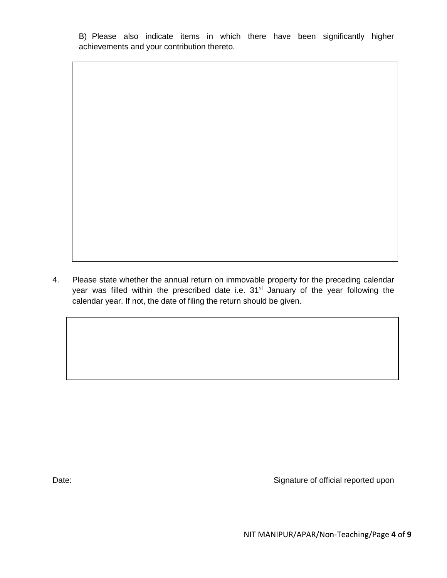B) Please also indicate items in which there have been significantly higher achievements and your contribution thereto.

4. Please state whether the annual return on immovable property for the preceding calendar year was filled within the prescribed date i.e. 31<sup>st</sup> January of the year following the calendar year. If not, the date of filing the return should be given.

Date: Date: Signature of official reported upon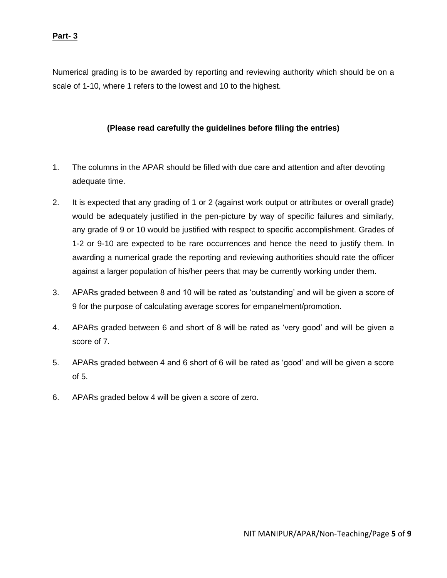#### **Part- 3**

Numerical grading is to be awarded by reporting and reviewing authority which should be on a scale of 1-10, where 1 refers to the lowest and 10 to the highest.

#### **(Please read carefully the guidelines before filing the entries)**

- 1. The columns in the APAR should be filled with due care and attention and after devoting adequate time.
- 2. It is expected that any grading of 1 or 2 (against work output or attributes or overall grade) would be adequately justified in the pen-picture by way of specific failures and similarly, any grade of 9 or 10 would be justified with respect to specific accomplishment. Grades of 1-2 or 9-10 are expected to be rare occurrences and hence the need to justify them. In awarding a numerical grade the reporting and reviewing authorities should rate the officer against a larger population of his/her peers that may be currently working under them.
- 3. APARs graded between 8 and 10 will be rated as 'outstanding' and will be given a score of 9 for the purpose of calculating average scores for empanelment/promotion.
- 4. APARs graded between 6 and short of 8 will be rated as 'very good' and will be given a score of 7.
- 5. APARs graded between 4 and 6 short of 6 will be rated as 'good' and will be given a score of 5.
- 6. APARs graded below 4 will be given a score of zero.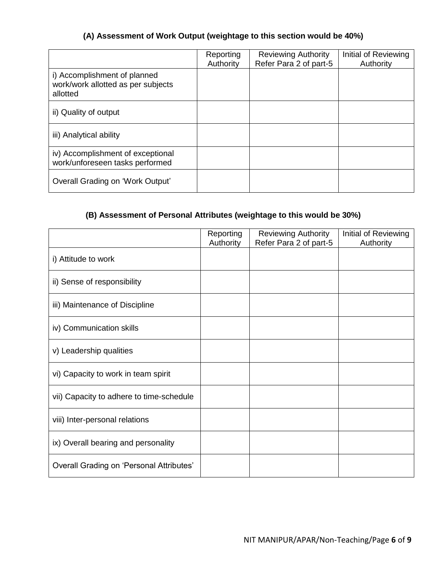### **(A) Assessment of Work Output (weightage to this section would be 40%)**

|                                                                                | Reporting<br>Authority | <b>Reviewing Authority</b><br>Refer Para 2 of part-5 | Initial of Reviewing<br>Authority |
|--------------------------------------------------------------------------------|------------------------|------------------------------------------------------|-----------------------------------|
| i) Accomplishment of planned<br>work/work allotted as per subjects<br>allotted |                        |                                                      |                                   |
| ii) Quality of output                                                          |                        |                                                      |                                   |
| iii) Analytical ability                                                        |                        |                                                      |                                   |
| iv) Accomplishment of exceptional<br>work/unforeseen tasks performed           |                        |                                                      |                                   |
| Overall Grading on 'Work Output'                                               |                        |                                                      |                                   |

# **(B) Assessment of Personal Attributes (weightage to this would be 30%)**

|                                          | Reporting<br>Authority | <b>Reviewing Authority</b><br>Refer Para 2 of part-5 | Initial of Reviewing<br>Authority |
|------------------------------------------|------------------------|------------------------------------------------------|-----------------------------------|
| i) Attitude to work                      |                        |                                                      |                                   |
| ii) Sense of responsibility              |                        |                                                      |                                   |
| iii) Maintenance of Discipline           |                        |                                                      |                                   |
| iv) Communication skills                 |                        |                                                      |                                   |
| v) Leadership qualities                  |                        |                                                      |                                   |
| vi) Capacity to work in team spirit      |                        |                                                      |                                   |
| vii) Capacity to adhere to time-schedule |                        |                                                      |                                   |
| viii) Inter-personal relations           |                        |                                                      |                                   |
| ix) Overall bearing and personality      |                        |                                                      |                                   |
| Overall Grading on 'Personal Attributes' |                        |                                                      |                                   |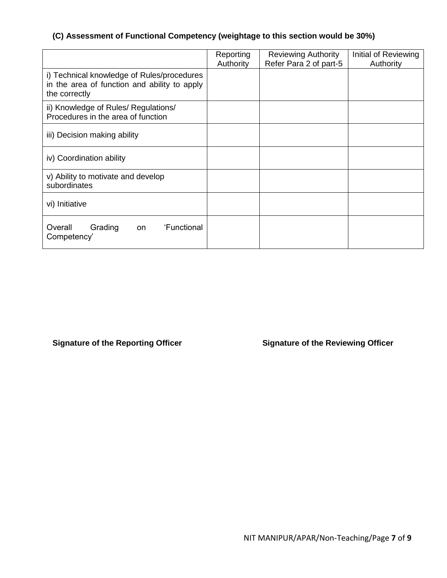## **(C) Assessment of Functional Competency (weightage to this section would be 30%)**

|                                                                                                             | Reporting<br>Authority | <b>Reviewing Authority</b><br>Refer Para 2 of part-5 | Initial of Reviewing<br>Authority |
|-------------------------------------------------------------------------------------------------------------|------------------------|------------------------------------------------------|-----------------------------------|
| i) Technical knowledge of Rules/procedures<br>in the area of function and ability to apply<br>the correctly |                        |                                                      |                                   |
| ii) Knowledge of Rules/ Regulations/<br>Procedures in the area of function                                  |                        |                                                      |                                   |
| iii) Decision making ability                                                                                |                        |                                                      |                                   |
| iv) Coordination ability                                                                                    |                        |                                                      |                                   |
| v) Ability to motivate and develop<br>subordinates                                                          |                        |                                                      |                                   |
| vi) Initiative                                                                                              |                        |                                                      |                                   |
| 'Functional<br>Overall<br>Grading<br>on<br>Competency'                                                      |                        |                                                      |                                   |

Signature of the Reporting Officer **Signature of the Reviewing Officer**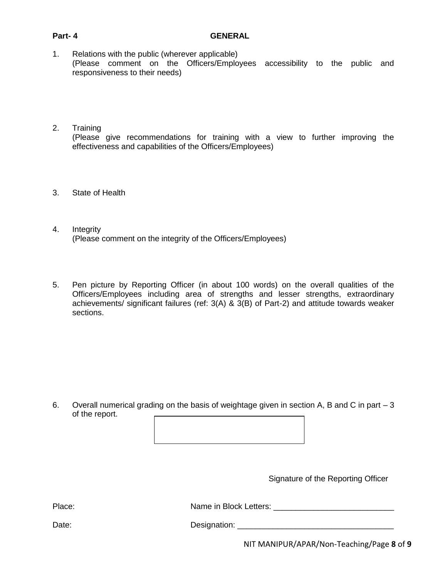- 1. Relations with the public (wherever applicable) (Please comment on the Officers/Employees accessibility to the public and responsiveness to their needs)
- 2. Training (Please give recommendations for training with a view to further improving the effectiveness and capabilities of the Officers/Employees)
- 3. State of Health
- 4. Integrity (Please comment on the integrity of the Officers/Employees)
- 5. Pen picture by Reporting Officer (in about 100 words) on the overall qualities of the Officers/Employees including area of strengths and lesser strengths, extraordinary achievements/ significant failures (ref: 3(A) & 3(B) of Part-2) and attitude towards weaker sections.

6. Overall numerical grading on the basis of weightage given in section A, B and C in part – 3 of the report.

Signature of the Reporting Officer

Place: etters: 2000 Mame in Block Letters: 2000 2010 2020 2020 2030 2040 2040 2050 2060 2070 2080 2080 2080 20

Date: Designation: \_\_\_\_\_\_\_\_\_\_\_\_\_\_\_\_\_\_\_\_\_\_\_\_\_\_\_\_\_\_\_\_\_\_\_

NIT MANIPUR/APAR/Non-Teaching/Page **8** of **9**